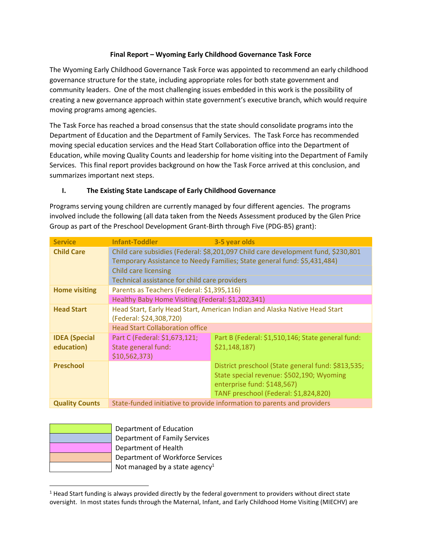# Final Report – Wyoming Early Childhood Governance Task Force

The Wyoming Early Childhood Governance Task Force was appointed to recommend an early childhood governance structure for the state, including appropriate roles for both state government and community leaders. One of the most challenging issues embedded in this work is the possibility of creating a new governance approach within state government's executive branch, which would require moving programs among agencies.

The Task Force has reached a broad consensus that the state should consolidate programs into the Department of Education and the Department of Family Services. The Task Force has recommended moving special education services and the Head Start Collaboration office into the Department of Education, while moving Quality Counts and leadership for home visiting into the Department of Family Services. This final report provides background on how the Task Force arrived at this conclusion, and summarizes important next steps.

#### I. The Existing State Landscape of Early Childhood Governance

Programs serving young children are currently managed by four different agencies. The programs involved include the following (all data taken from the Needs Assessment produced by the Glen Price Group as part of the Preschool Development Grant-Birth through Five (PDG-B5) grant):

| <b>Service</b>        | <b>Infant-Toddler</b>                                                      | 3-5 year olds                                                                                                                                                 |
|-----------------------|----------------------------------------------------------------------------|---------------------------------------------------------------------------------------------------------------------------------------------------------------|
| <b>Child Care</b>     |                                                                            | Child care subsidies (Federal: \$8,201,097 Child care development fund, \$230,801<br>Temporary Assistance to Needy Families; State general fund: \$5,431,484) |
|                       | <b>Child care licensing</b>                                                |                                                                                                                                                               |
|                       | Technical assistance for child care providers                              |                                                                                                                                                               |
| <b>Home visiting</b>  | Parents as Teachers (Federal: \$1,395,116)                                 |                                                                                                                                                               |
|                       | Healthy Baby Home Visiting (Federal: \$1,202,341)                          |                                                                                                                                                               |
| <b>Head Start</b>     | Head Start, Early Head Start, American Indian and Alaska Native Head Start |                                                                                                                                                               |
|                       | (Federal: \$24,308,720)                                                    |                                                                                                                                                               |
|                       | <b>Head Start Collaboration office</b>                                     |                                                                                                                                                               |
| <b>IDEA</b> (Special  | Part C (Federal: \$1,673,121;                                              | Part B (Federal: \$1,510,146; State general fund:                                                                                                             |
| education)            | State general fund:                                                        | \$21,148,187                                                                                                                                                  |
|                       | \$10,562,373\$                                                             |                                                                                                                                                               |
| <b>Preschool</b>      |                                                                            | District preschool (State general fund: \$813,535;                                                                                                            |
|                       |                                                                            | State special revenue: \$502,190; Wyoming                                                                                                                     |
|                       |                                                                            | enterprise fund: \$148,567)                                                                                                                                   |
|                       |                                                                            | TANF preschool (Federal: \$1,824,820)                                                                                                                         |
| <b>Quality Counts</b> | State-funded initiative to provide information to parents and providers    |                                                                                                                                                               |

Department of Education Department of Family Services Department of Health Department of Workforce Services Not managed by a state agency<sup>1</sup>

 $<sup>1</sup>$  Head Start funding is always provided directly by the federal government to providers without direct state</sup> oversight. In most states funds through the Maternal, Infant, and Early Childhood Home Visiting (MIECHV) are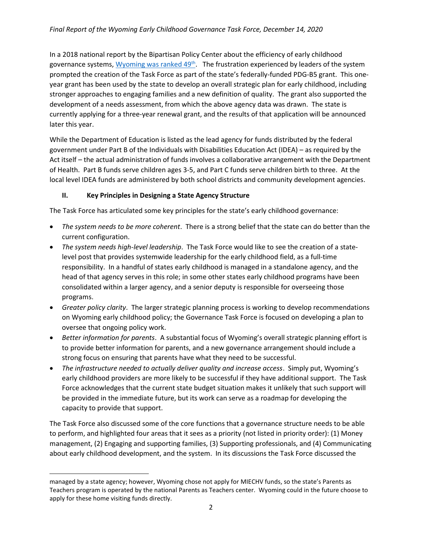In a 2018 national report by the Bipartisan Policy Center about the efficiency of early childhood governance systems, Wyoming was ranked 49<sup>th</sup>. The frustration experienced by leaders of the system prompted the creation of the Task Force as part of the state's federally-funded PDG-B5 grant. This oneyear grant has been used by the state to develop an overall strategic plan for early childhood, including stronger approaches to engaging families and a new definition of quality. The grant also supported the development of a needs assessment, from which the above agency data was drawn. The state is currently applying for a three-year renewal grant, and the results of that application will be announced later this year.

While the Department of Education is listed as the lead agency for funds distributed by the federal government under Part B of the Individuals with Disabilities Education Act (IDEA) – as required by the Act itself – the actual administration of funds involves a collaborative arrangement with the Department of Health. Part B funds serve children ages 3-5, and Part C funds serve children birth to three. At the local level IDEA funds are administered by both school districts and community development agencies.

# II. Key Principles in Designing a State Agency Structure

The Task Force has articulated some key principles for the state's early childhood governance:

- The system needs to be more coherent. There is a strong belief that the state can do better than the current configuration.
- The system needs high-level leadership. The Task Force would like to see the creation of a statelevel post that provides systemwide leadership for the early childhood field, as a full-time responsibility. In a handful of states early childhood is managed in a standalone agency, and the head of that agency serves in this role; in some other states early childhood programs have been consolidated within a larger agency, and a senior deputy is responsible for overseeing those programs.
- Greater policy clarity. The larger strategic planning process is working to develop recommendations on Wyoming early childhood policy; the Governance Task Force is focused on developing a plan to oversee that ongoing policy work.
- Better information for parents. A substantial focus of Wyoming's overall strategic planning effort is to provide better information for parents, and a new governance arrangement should include a strong focus on ensuring that parents have what they need to be successful.
- The infrastructure needed to actually deliver quality and increase access. Simply put, Wyoming's early childhood providers are more likely to be successful if they have additional support. The Task Force acknowledges that the current state budget situation makes it unlikely that such support will be provided in the immediate future, but its work can serve as a roadmap for developing the capacity to provide that support.

The Task Force also discussed some of the core functions that a governance structure needs to be able to perform, and highlighted four areas that it sees as a priority (not listed in priority order): (1) Money management, (2) Engaging and supporting families, (3) Supporting professionals, and (4) Communicating about early childhood development, and the system. In its discussions the Task Force discussed the

managed by a state agency; however, Wyoming chose not apply for MIECHV funds, so the state's Parents as Teachers program is operated by the national Parents as Teachers center. Wyoming could in the future choose to apply for these home visiting funds directly.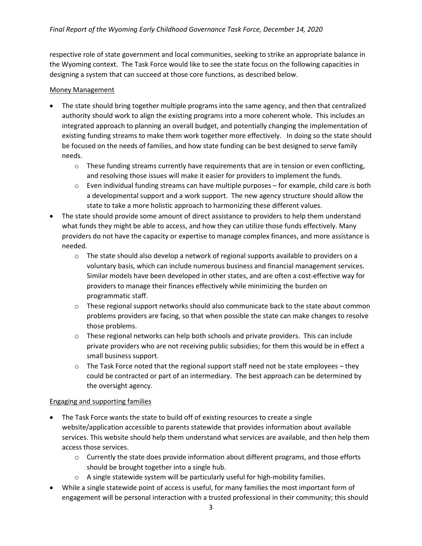respective role of state government and local communities, seeking to strike an appropriate balance in the Wyoming context. The Task Force would like to see the state focus on the following capacities in designing a system that can succeed at those core functions, as described below.

#### Money Management

- The state should bring together multiple programs into the same agency, and then that centralized authority should work to align the existing programs into a more coherent whole. This includes an integrated approach to planning an overall budget, and potentially changing the implementation of existing funding streams to make them work together more effectively. In doing so the state should be focused on the needs of families, and how state funding can be best designed to serve family needs.
	- $\circ$  These funding streams currently have requirements that are in tension or even conflicting, and resolving those issues will make it easier for providers to implement the funds.
	- $\circ$  Even individual funding streams can have multiple purposes for example, child care is both a developmental support and a work support. The new agency structure should allow the state to take a more holistic approach to harmonizing these different values.
- The state should provide some amount of direct assistance to providers to help them understand what funds they might be able to access, and how they can utilize those funds effectively. Many providers do not have the capacity or expertise to manage complex finances, and more assistance is needed.
	- $\circ$  The state should also develop a network of regional supports available to providers on a voluntary basis, which can include numerous business and financial management services. Similar models have been developed in other states, and are often a cost-effective way for providers to manage their finances effectively while minimizing the burden on programmatic staff.
	- $\circ$  These regional support networks should also communicate back to the state about common problems providers are facing, so that when possible the state can make changes to resolve those problems.
	- $\circ$  These regional networks can help both schools and private providers. This can include private providers who are not receiving public subsidies; for them this would be in effect a small business support.
	- $\circ$  The Task Force noted that the regional support staff need not be state employees they could be contracted or part of an intermediary. The best approach can be determined by the oversight agency.

#### Engaging and supporting families

- The Task Force wants the state to build off of existing resources to create a single website/application accessible to parents statewide that provides information about available services. This website should help them understand what services are available, and then help them access those services.
	- $\circ$  Currently the state does provide information about different programs, and those efforts should be brought together into a single hub.
	- o A single statewide system will be particularly useful for high-mobility families.
- While a single statewide point of access is useful, for many families the most important form of engagement will be personal interaction with a trusted professional in their community; this should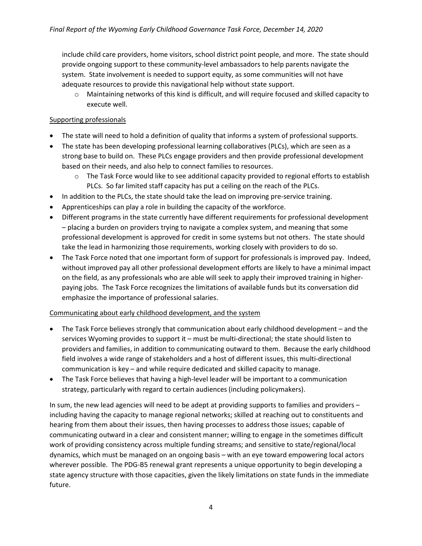include child care providers, home visitors, school district point people, and more. The state should provide ongoing support to these community-level ambassadors to help parents navigate the system. State involvement is needed to support equity, as some communities will not have adequate resources to provide this navigational help without state support.

o Maintaining networks of this kind is difficult, and will require focused and skilled capacity to execute well.

# Supporting professionals

- The state will need to hold a definition of quality that informs a system of professional supports.
- The state has been developing professional learning collaboratives (PLCs), which are seen as a strong base to build on. These PLCs engage providers and then provide professional development based on their needs, and also help to connect families to resources.
	- $\circ$  The Task Force would like to see additional capacity provided to regional efforts to establish PLCs. So far limited staff capacity has put a ceiling on the reach of the PLCs.
- In addition to the PLCs, the state should take the lead on improving pre-service training.
- Apprenticeships can play a role in building the capacity of the workforce.
- Different programs in the state currently have different requirements for professional development – placing a burden on providers trying to navigate a complex system, and meaning that some professional development is approved for credit in some systems but not others. The state should take the lead in harmonizing those requirements, working closely with providers to do so.
- The Task Force noted that one important form of support for professionals is improved pay. Indeed, without improved pay all other professional development efforts are likely to have a minimal impact on the field, as any professionals who are able will seek to apply their improved training in higherpaying jobs. The Task Force recognizes the limitations of available funds but its conversation did emphasize the importance of professional salaries.

#### Communicating about early childhood development, and the system

- The Task Force believes strongly that communication about early childhood development and the services Wyoming provides to support it – must be multi-directional; the state should listen to providers and families, in addition to communicating outward to them. Because the early childhood field involves a wide range of stakeholders and a host of different issues, this multi-directional communication is key – and while require dedicated and skilled capacity to manage.
- The Task Force believes that having a high-level leader will be important to a communication strategy, particularly with regard to certain audiences (including policymakers).

In sum, the new lead agencies will need to be adept at providing supports to families and providers – including having the capacity to manage regional networks; skilled at reaching out to constituents and hearing from them about their issues, then having processes to address those issues; capable of communicating outward in a clear and consistent manner; willing to engage in the sometimes difficult work of providing consistency across multiple funding streams; and sensitive to state/regional/local dynamics, which must be managed on an ongoing basis – with an eye toward empowering local actors wherever possible. The PDG-B5 renewal grant represents a unique opportunity to begin developing a state agency structure with those capacities, given the likely limitations on state funds in the immediate future.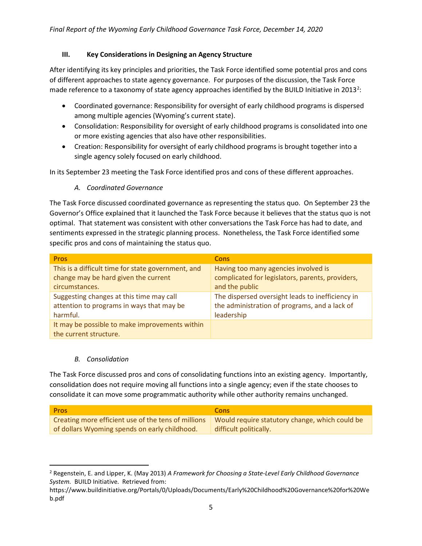### III. Key Considerations in Designing an Agency Structure

After identifying its key principles and priorities, the Task Force identified some potential pros and cons of different approaches to state agency governance. For purposes of the discussion, the Task Force made reference to a taxonomy of state agency approaches identified by the BUILD Initiative in 2013<sup>2</sup>:

- Coordinated governance: Responsibility for oversight of early childhood programs is dispersed among multiple agencies (Wyoming's current state).
- Consolidation: Responsibility for oversight of early childhood programs is consolidated into one or more existing agencies that also have other responsibilities.
- Creation: Responsibility for oversight of early childhood programs is brought together into a single agency solely focused on early childhood.

In its September 23 meeting the Task Force identified pros and cons of these different approaches.

A. Coordinated Governance

The Task Force discussed coordinated governance as representing the status quo. On September 23 the Governor's Office explained that it launched the Task Force because it believes that the status quo is not optimal. That statement was consistent with other conversations the Task Force has had to date, and sentiments expressed in the strategic planning process. Nonetheless, the Task Force identified some specific pros and cons of maintaining the status quo.

| <b>Pros</b>                                        | <b>Cons</b>                                      |
|----------------------------------------------------|--------------------------------------------------|
| This is a difficult time for state government, and | Having too many agencies involved is             |
| change may be hard given the current               | complicated for legislators, parents, providers, |
| circumstances.                                     | and the public                                   |
| Suggesting changes at this time may call           | The dispersed oversight leads to inefficiency in |
| attention to programs in ways that may be          | the administration of programs, and a lack of    |
| harmful.                                           | leadership                                       |
| It may be possible to make improvements within     |                                                  |
| the current structure.                             |                                                  |

#### B. Consolidation

The Task Force discussed pros and cons of consolidating functions into an existing agency. Importantly, consolidation does not require moving all functions into a single agency; even if the state chooses to consolidate it can move some programmatic authority while other authority remains unchanged.

| <b>Pros</b>                                         | <b>Cons</b>                                    |
|-----------------------------------------------------|------------------------------------------------|
| Creating more efficient use of the tens of millions | Would require statutory change, which could be |
| of dollars Wyoming spends on early childhood.       | difficult politically.                         |

<sup>&</sup>lt;sup>2</sup> Regenstein, E. and Lipper, K. (May 2013) A Framework for Choosing a State-Level Early Childhood Governance System. BUILD Initiative. Retrieved from:

https://www.buildinitiative.org/Portals/0/Uploads/Documents/Early%20Childhood%20Governance%20for%20We b.pdf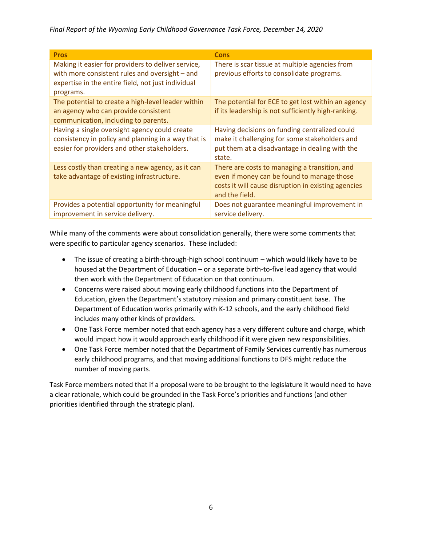Final Report of the Wyoming Early Childhood Governance Task Force, December 14, 2020

| <b>Pros</b>                                                                                                                                                             | <b>Cons</b>                                                                                                                                                          |
|-------------------------------------------------------------------------------------------------------------------------------------------------------------------------|----------------------------------------------------------------------------------------------------------------------------------------------------------------------|
| Making it easier for providers to deliver service,<br>with more consistent rules and oversight - and<br>expertise in the entire field, not just individual<br>programs. | There is scar tissue at multiple agencies from<br>previous efforts to consolidate programs.                                                                          |
| The potential to create a high-level leader within<br>an agency who can provide consistent<br>communication, including to parents.                                      | The potential for ECE to get lost within an agency<br>if its leadership is not sufficiently high-ranking.                                                            |
| Having a single oversight agency could create<br>consistency in policy and planning in a way that is<br>easier for providers and other stakeholders.                    | Having decisions on funding centralized could<br>make it challenging for some stakeholders and<br>put them at a disadvantage in dealing with the<br>state.           |
| Less costly than creating a new agency, as it can<br>take advantage of existing infrastructure.                                                                         | There are costs to managing a transition, and<br>even if money can be found to manage those<br>costs it will cause disruption in existing agencies<br>and the field. |
| Provides a potential opportunity for meaningful<br>improvement in service delivery.                                                                                     | Does not guarantee meaningful improvement in<br>service delivery.                                                                                                    |

While many of the comments were about consolidation generally, there were some comments that were specific to particular agency scenarios. These included:

- The issue of creating a birth-through-high school continuum which would likely have to be housed at the Department of Education – or a separate birth-to-five lead agency that would then work with the Department of Education on that continuum.
- Concerns were raised about moving early childhood functions into the Department of Education, given the Department's statutory mission and primary constituent base. The Department of Education works primarily with K-12 schools, and the early childhood field includes many other kinds of providers.
- One Task Force member noted that each agency has a very different culture and charge, which would impact how it would approach early childhood if it were given new responsibilities.
- One Task Force member noted that the Department of Family Services currently has numerous early childhood programs, and that moving additional functions to DFS might reduce the number of moving parts.

Task Force members noted that if a proposal were to be brought to the legislature it would need to have a clear rationale, which could be grounded in the Task Force's priorities and functions (and other priorities identified through the strategic plan).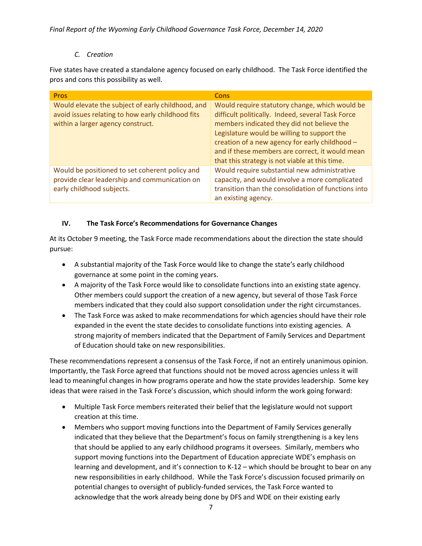# C. Creation

Five states have created a standalone agency focused on early childhood. The Task Force identified the pros and cons this possibility as well.

| <b>Pros</b>                                                                                                                                 | <b>Cons</b>                                                                                                                                                                                                                                                                                                                                             |
|---------------------------------------------------------------------------------------------------------------------------------------------|---------------------------------------------------------------------------------------------------------------------------------------------------------------------------------------------------------------------------------------------------------------------------------------------------------------------------------------------------------|
| Would elevate the subject of early childhood, and<br>avoid issues relating to how early childhood fits<br>within a larger agency construct. | Would require statutory change, which would be<br>difficult politically. Indeed, several Task Force<br>members indicated they did not believe the<br>Legislature would be willing to support the<br>creation of a new agency for early childhood -<br>and if these members are correct, it would mean<br>that this strategy is not viable at this time. |
| Would be positioned to set coherent policy and<br>provide clear leadership and communication on<br>early childhood subjects.                | Would require substantial new administrative<br>capacity, and would involve a more complicated<br>transition than the consolidation of functions into<br>an existing agency.                                                                                                                                                                            |

# IV. The Task Force's Recommendations for Governance Changes

At its October 9 meeting, the Task Force made recommendations about the direction the state should pursue:

- A substantial majority of the Task Force would like to change the state's early childhood governance at some point in the coming years.
- A majority of the Task Force would like to consolidate functions into an existing state agency. Other members could support the creation of a new agency, but several of those Task Force members indicated that they could also support consolidation under the right circumstances.
- The Task Force was asked to make recommendations for which agencies should have their role expanded in the event the state decides to consolidate functions into existing agencies. A strong majority of members indicated that the Department of Family Services and Department of Education should take on new responsibilities.

These recommendations represent a consensus of the Task Force, if not an entirely unanimous opinion. Importantly, the Task Force agreed that functions should not be moved across agencies unless it will lead to meaningful changes in how programs operate and how the state provides leadership. Some key ideas that were raised in the Task Force's discussion, which should inform the work going forward:

- Multiple Task Force members reiterated their belief that the legislature would not support creation at this time.
- Members who support moving functions into the Department of Family Services generally indicated that they believe that the Department's focus on family strengthening is a key lens that should be applied to any early childhood programs it oversees. Similarly, members who support moving functions into the Department of Education appreciate WDE's emphasis on learning and development, and it's connection to K-12 – which should be brought to bear on any new responsibilities in early childhood. While the Task Force's discussion focused primarily on potential changes to oversight of publicly-funded services, the Task Force wanted to acknowledge that the work already being done by DFS and WDE on their existing early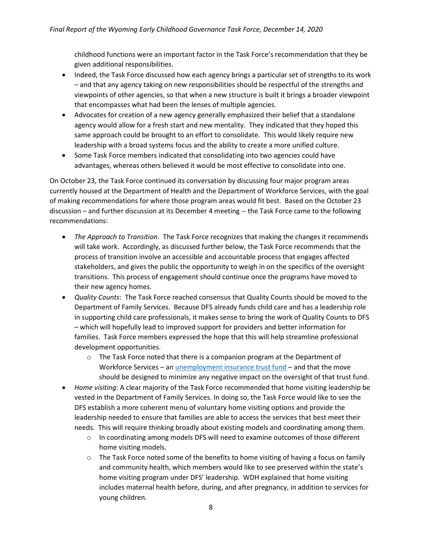childhood functions were an important factor in the Task Force's recommendation that they be given additional responsibilities.

- Indeed, the Task Force discussed how each agency brings a particular set of strengths to its work – and that any agency taking on new responsibilities should be respectful of the strengths and viewpoints of other agencies, so that when a new structure is built it brings a broader viewpoint that encompasses what had been the lenses of multiple agencies.
- Advocates for creation of a new agency generally emphasized their belief that a standalone agency would allow for a fresh start and new mentality. They indicated that they hoped this same approach could be brought to an effort to consolidate. This would likely require new leadership with a broad systems focus and the ability to create a more unified culture.
- Some Task Force members indicated that consolidating into two agencies could have advantages, whereas others believed it would be most effective to consolidate into one.

On October 23, the Task Force continued its conversation by discussing four major program areas currently housed at the Department of Health and the Department of Workforce Services, with the goal of making recommendations for where those program areas would fit best. Based on the October 23 discussion – and further discussion at its December 4 meeting -- the Task Force came to the following recommendations:

- The Approach to Transition. The Task Force recognizes that making the changes it recommends will take work. Accordingly, as discussed further below, the Task Force recommends that the process of transition involve an accessible and accountable process that engages affected stakeholders, and gives the public the opportunity to weigh in on the specifics of the oversight transitions. This process of engagement should continue once the programs have moved to their new agency homes.
- Quality Counts: The Task Force reached consensus that Quality Counts should be moved to the Department of Family Services. Because DFS already funds child care and has a leadership role in supporting child care professionals, it makes sense to bring the work of Quality Counts to DFS – which will hopefully lead to improved support for providers and better information for families. Task Force members expressed the hope that this will help streamline professional development opportunities.
	- $\circ$  The Task Force noted that there is a companion program at the Department of Workforce Services – an *unemployment insurance trust fund* – and that the move should be designed to minimize any negative impact on the oversight of that trust fund.
- Home visiting: A clear majority of the Task Force recommended that home visiting leadership be vested in the Department of Family Services. In doing so, the Task Force would like to see the DFS establish a more coherent menu of voluntary home visiting options and provide the leadership needed to ensure that families are able to access the services that best meet their needs. This will require thinking broadly about existing models and coordinating among them.
	- $\circ$  In coordinating among models DFS will need to examine outcomes of those different home visiting models.
	- $\circ$  The Task Force noted some of the benefits to home visiting of having a focus on family and community health, which members would like to see preserved within the state's home visiting program under DFS' leadership. WDH explained that home visiting includes maternal health before, during, and after pregnancy, in addition to services for young children.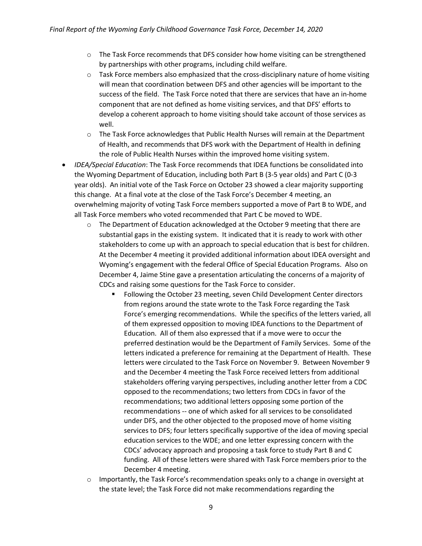- $\circ$  The Task Force recommends that DFS consider how home visiting can be strengthened by partnerships with other programs, including child welfare.
- $\circ$  Task Force members also emphasized that the cross-disciplinary nature of home visiting will mean that coordination between DFS and other agencies will be important to the success of the field. The Task Force noted that there are services that have an in-home component that are not defined as home visiting services, and that DFS' efforts to develop a coherent approach to home visiting should take account of those services as well.
- $\circ$  The Task Force acknowledges that Public Health Nurses will remain at the Department of Health, and recommends that DFS work with the Department of Health in defining the role of Public Health Nurses within the improved home visiting system.
- IDEA/Special Education: The Task Force recommends that IDEA functions be consolidated into the Wyoming Department of Education, including both Part B (3-5 year olds) and Part C (0-3 year olds). An initial vote of the Task Force on October 23 showed a clear majority supporting this change. At a final vote at the close of the Task Force's December 4 meeting, an overwhelming majority of voting Task Force members supported a move of Part B to WDE, and all Task Force members who voted recommended that Part C be moved to WDE.
	- $\circ$  The Department of Education acknowledged at the October 9 meeting that there are substantial gaps in the existing system. It indicated that it is ready to work with other stakeholders to come up with an approach to special education that is best for children. At the December 4 meeting it provided additional information about IDEA oversight and Wyoming's engagement with the federal Office of Special Education Programs. Also on December 4, Jaime Stine gave a presentation articulating the concerns of a majority of CDCs and raising some questions for the Task Force to consider.
		- Following the October 23 meeting, seven Child Development Center directors from regions around the state wrote to the Task Force regarding the Task Force's emerging recommendations. While the specifics of the letters varied, all of them expressed opposition to moving IDEA functions to the Department of Education. All of them also expressed that if a move were to occur the preferred destination would be the Department of Family Services. Some of the letters indicated a preference for remaining at the Department of Health. These letters were circulated to the Task Force on November 9. Between November 9 and the December 4 meeting the Task Force received letters from additional stakeholders offering varying perspectives, including another letter from a CDC opposed to the recommendations; two letters from CDCs in favor of the recommendations; two additional letters opposing some portion of the recommendations -- one of which asked for all services to be consolidated under DFS, and the other objected to the proposed move of home visiting services to DFS; four letters specifically supportive of the idea of moving special education services to the WDE; and one letter expressing concern with the CDCs' advocacy approach and proposing a task force to study Part B and C funding. All of these letters were shared with Task Force members prior to the December 4 meeting.
	- $\circ$  Importantly, the Task Force's recommendation speaks only to a change in oversight at the state level; the Task Force did not make recommendations regarding the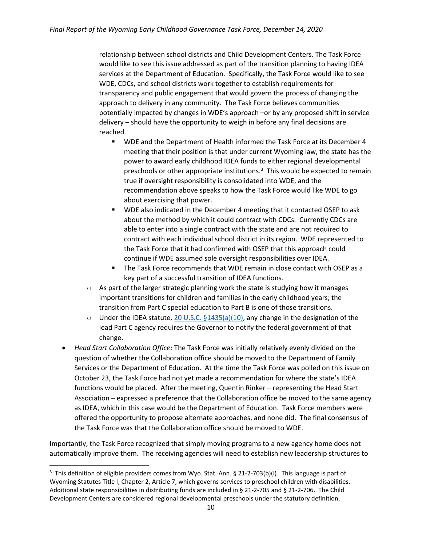relationship between school districts and Child Development Centers. The Task Force would like to see this issue addressed as part of the transition planning to having IDEA services at the Department of Education. Specifically, the Task Force would like to see WDE, CDCs, and school districts work together to establish requirements for transparency and public engagement that would govern the process of changing the approach to delivery in any community. The Task Force believes communities potentially impacted by changes in WDE's approach –or by any proposed shift in service delivery – should have the opportunity to weigh in before any final decisions are reached.

- **WDE and the Department of Health informed the Task Force at its December 4** meeting that their position is that under current Wyoming law, the state has the power to award early childhood IDEA funds to either regional developmental preschools or other appropriate institutions. $3$  This would be expected to remain true if oversight responsibility is consolidated into WDE, and the recommendation above speaks to how the Task Force would like WDE to go about exercising that power.
- WDE also indicated in the December 4 meeting that it contacted OSEP to ask about the method by which it could contract with CDCs. Currently CDCs are able to enter into a single contract with the state and are not required to contract with each individual school district in its region. WDE represented to the Task Force that it had confirmed with OSEP that this approach could continue if WDE assumed sole oversight responsibilities over IDEA.
- The Task Force recommends that WDE remain in close contact with OSEP as a key part of a successful transition of IDEA functions.
- $\circ$  As part of the larger strategic planning work the state is studying how it manages important transitions for children and families in the early childhood years; the transition from Part C special education to Part B is one of those transitions.
- $\circ$  Under the IDEA statute, 20 U.S.C. §1435(a)(10), any change in the designation of the lead Part C agency requires the Governor to notify the federal government of that change.
- Head Start Collaboration Office: The Task Force was initially relatively evenly divided on the question of whether the Collaboration office should be moved to the Department of Family Services or the Department of Education. At the time the Task Force was polled on this issue on October 23, the Task Force had not yet made a recommendation for where the state's IDEA functions would be placed. After the meeting, Quentin Rinker – representing the Head Start Association – expressed a preference that the Collaboration office be moved to the same agency as IDEA, which in this case would be the Department of Education. Task Force members were offered the opportunity to propose alternate approaches, and none did. The final consensus of the Task Force was that the Collaboration office should be moved to WDE.

Importantly, the Task Force recognized that simply moving programs to a new agency home does not automatically improve them. The receiving agencies will need to establish new leadership structures to

<sup>&</sup>lt;sup>3</sup> This definition of eligible providers comes from Wyo. Stat. Ann. § 21-2-703(b)(i). This language is part of Wyoming Statutes Title I, Chapter 2, Article 7, which governs services to preschool children with disabilities. Additional state responsibilities in distributing funds are included in § 21-2-705 and § 21-2-706. The Child Development Centers are considered regional developmental preschools under the statutory definition.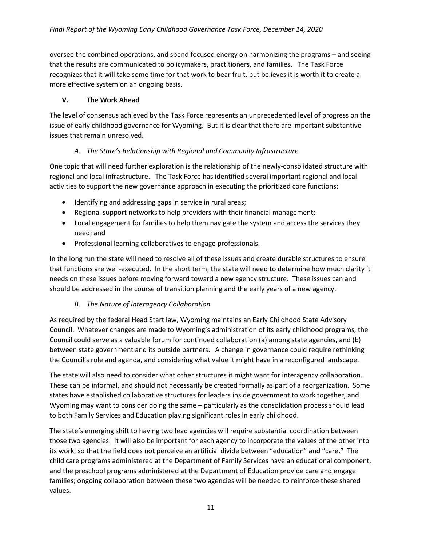oversee the combined operations, and spend focused energy on harmonizing the programs – and seeing that the results are communicated to policymakers, practitioners, and families. The Task Force recognizes that it will take some time for that work to bear fruit, but believes it is worth it to create a more effective system on an ongoing basis.

# V. The Work Ahead

The level of consensus achieved by the Task Force represents an unprecedented level of progress on the issue of early childhood governance for Wyoming. But it is clear that there are important substantive issues that remain unresolved.

# A. The State's Relationship with Regional and Community Infrastructure

One topic that will need further exploration is the relationship of the newly-consolidated structure with regional and local infrastructure. The Task Force has identified several important regional and local activities to support the new governance approach in executing the prioritized core functions:

- Identifying and addressing gaps in service in rural areas;
- Regional support networks to help providers with their financial management;
- Local engagement for families to help them navigate the system and access the services they need; and
- Professional learning collaboratives to engage professionals.

In the long run the state will need to resolve all of these issues and create durable structures to ensure that functions are well-executed. In the short term, the state will need to determine how much clarity it needs on these issues before moving forward toward a new agency structure. These issues can and should be addressed in the course of transition planning and the early years of a new agency.

# B. The Nature of Interagency Collaboration

As required by the federal Head Start law, Wyoming maintains an Early Childhood State Advisory Council. Whatever changes are made to Wyoming's administration of its early childhood programs, the Council could serve as a valuable forum for continued collaboration (a) among state agencies, and (b) between state government and its outside partners. A change in governance could require rethinking the Council's role and agenda, and considering what value it might have in a reconfigured landscape.

The state will also need to consider what other structures it might want for interagency collaboration. These can be informal, and should not necessarily be created formally as part of a reorganization. Some states have established collaborative structures for leaders inside government to work together, and Wyoming may want to consider doing the same – particularly as the consolidation process should lead to both Family Services and Education playing significant roles in early childhood.

The state's emerging shift to having two lead agencies will require substantial coordination between those two agencies. It will also be important for each agency to incorporate the values of the other into its work, so that the field does not perceive an artificial divide between "education" and "care." The child care programs administered at the Department of Family Services have an educational component, and the preschool programs administered at the Department of Education provide care and engage families; ongoing collaboration between these two agencies will be needed to reinforce these shared values.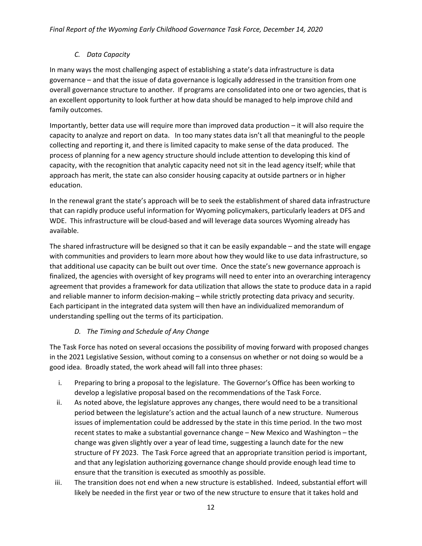# C. Data Capacity

In many ways the most challenging aspect of establishing a state's data infrastructure is data governance – and that the issue of data governance is logically addressed in the transition from one overall governance structure to another. If programs are consolidated into one or two agencies, that is an excellent opportunity to look further at how data should be managed to help improve child and family outcomes.

Importantly, better data use will require more than improved data production – it will also require the capacity to analyze and report on data. In too many states data isn't all that meaningful to the people collecting and reporting it, and there is limited capacity to make sense of the data produced. The process of planning for a new agency structure should include attention to developing this kind of capacity, with the recognition that analytic capacity need not sit in the lead agency itself; while that approach has merit, the state can also consider housing capacity at outside partners or in higher education.

In the renewal grant the state's approach will be to seek the establishment of shared data infrastructure that can rapidly produce useful information for Wyoming policymakers, particularly leaders at DFS and WDE. This infrastructure will be cloud-based and will leverage data sources Wyoming already has available.

The shared infrastructure will be designed so that it can be easily expandable – and the state will engage with communities and providers to learn more about how they would like to use data infrastructure, so that additional use capacity can be built out over time. Once the state's new governance approach is finalized, the agencies with oversight of key programs will need to enter into an overarching interagency agreement that provides a framework for data utilization that allows the state to produce data in a rapid and reliable manner to inform decision-making – while strictly protecting data privacy and security. Each participant in the integrated data system will then have an individualized memorandum of understanding spelling out the terms of its participation.

# D. The Timing and Schedule of Any Change

The Task Force has noted on several occasions the possibility of moving forward with proposed changes in the 2021 Legislative Session, without coming to a consensus on whether or not doing so would be a good idea. Broadly stated, the work ahead will fall into three phases:

- i. Preparing to bring a proposal to the legislature. The Governor's Office has been working to develop a legislative proposal based on the recommendations of the Task Force.
- ii. As noted above, the legislature approves any changes, there would need to be a transitional period between the legislature's action and the actual launch of a new structure. Numerous issues of implementation could be addressed by the state in this time period. In the two most recent states to make a substantial governance change – New Mexico and Washington – the change was given slightly over a year of lead time, suggesting a launch date for the new structure of FY 2023. The Task Force agreed that an appropriate transition period is important, and that any legislation authorizing governance change should provide enough lead time to ensure that the transition is executed as smoothly as possible.
- iii. The transition does not end when a new structure is established. Indeed, substantial effort will likely be needed in the first year or two of the new structure to ensure that it takes hold and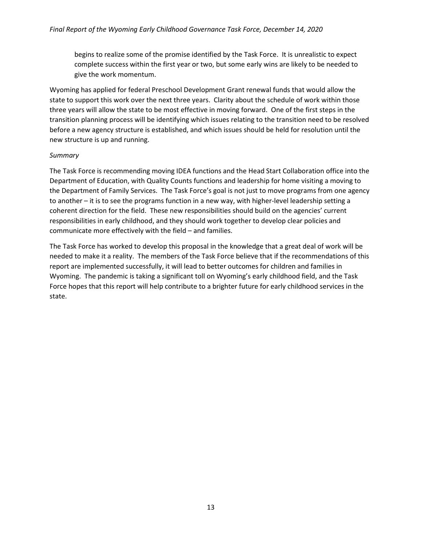begins to realize some of the promise identified by the Task Force. It is unrealistic to expect complete success within the first year or two, but some early wins are likely to be needed to give the work momentum.

Wyoming has applied for federal Preschool Development Grant renewal funds that would allow the state to support this work over the next three years. Clarity about the schedule of work within those three years will allow the state to be most effective in moving forward. One of the first steps in the transition planning process will be identifying which issues relating to the transition need to be resolved before a new agency structure is established, and which issues should be held for resolution until the new structure is up and running.

#### **Summary**

The Task Force is recommending moving IDEA functions and the Head Start Collaboration office into the Department of Education, with Quality Counts functions and leadership for home visiting a moving to the Department of Family Services. The Task Force's goal is not just to move programs from one agency to another – it is to see the programs function in a new way, with higher-level leadership setting a coherent direction for the field. These new responsibilities should build on the agencies' current responsibilities in early childhood, and they should work together to develop clear policies and communicate more effectively with the field – and families.

The Task Force has worked to develop this proposal in the knowledge that a great deal of work will be needed to make it a reality. The members of the Task Force believe that if the recommendations of this report are implemented successfully, it will lead to better outcomes for children and families in Wyoming. The pandemic is taking a significant toll on Wyoming's early childhood field, and the Task Force hopes that this report will help contribute to a brighter future for early childhood services in the state.